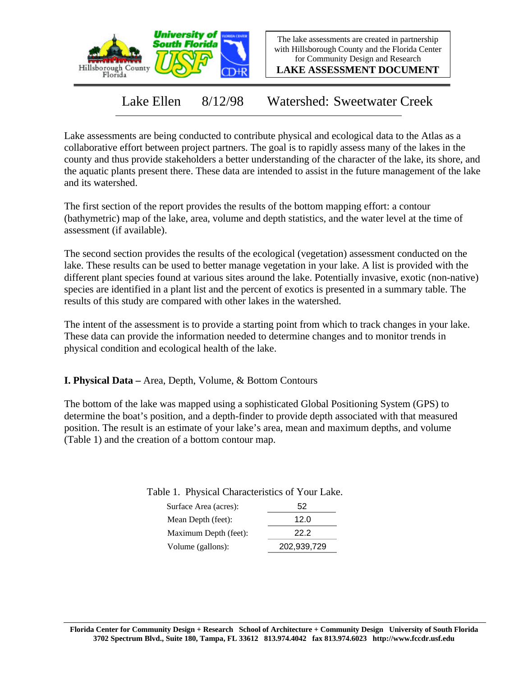

The lake assessments are created in partnership with Hillsborough County and the Florida Center for Community Design and Research

**LAKE ASSESSMENT DOCUMENT**

Lake Ellen 8/12/98 Watershed: Sweetwater Creek

Lake assessments are being conducted to contribute physical and ecological data to the Atlas as a collaborative effort between project partners. The goal is to rapidly assess many of the lakes in the county and thus provide stakeholders a better understanding of the character of the lake, its shore, and the aquatic plants present there. These data are intended to assist in the future management of the lake and its watershed.

The first section of the report provides the results of the bottom mapping effort: a contour (bathymetric) map of the lake, area, volume and depth statistics, and the water level at the time of assessment (if available).

The second section provides the results of the ecological (vegetation) assessment conducted on the lake. These results can be used to better manage vegetation in your lake. A list is provided with the different plant species found at various sites around the lake. Potentially invasive, exotic (non-native) species are identified in a plant list and the percent of exotics is presented in a summary table. The results of this study are compared with other lakes in the watershed.

The intent of the assessment is to provide a starting point from which to track changes in your lake. These data can provide the information needed to determine changes and to monitor trends in physical condition and ecological health of the lake.

**I. Physical Data –** Area, Depth, Volume, & Bottom Contours

The bottom of the lake was mapped using a sophisticated Global Positioning System (GPS) to determine the boat's position, and a depth-finder to provide depth associated with that measured position. The result is an estimate of your lake's area, mean and maximum depths, and volume (Table 1) and the creation of a bottom contour map.

| Surface Area (acres): | 52   |
|-----------------------|------|
| Mean Depth (feet):    | 12.0 |
| Maximum Depth (feet): | 22.2 |

Volume (gallons): 202,939,729

Table 1. Physical Characteristics of Your Lake.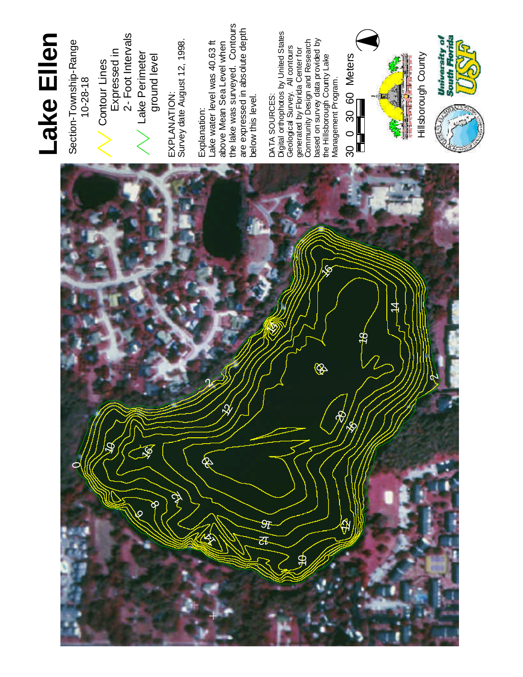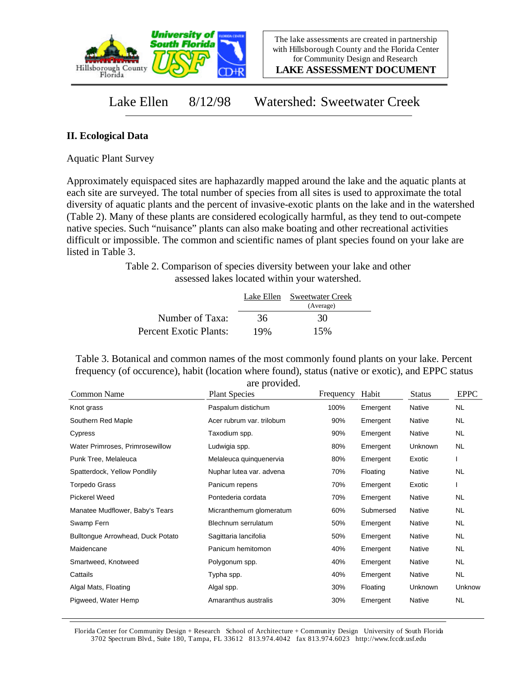

The lake assessments are created in partnership with Hillsborough County and the Florida Center for Community Design and Research

**LAKE ASSESSMENT DOCUMENT**

## Lake Ellen 8/12/98 Watershed: Sweetwater Creek

## **II. Ecological Data**

Aquatic Plant Survey

Approximately equispaced sites are haphazardly mapped around the lake and the aquatic plants at each site are surveyed. The total number of species from all sites is used to approximate the total diversity of aquatic plants and the percent of invasive-exotic plants on the lake and in the watershed (Table 2). Many of these plants are considered ecologically harmful, as they tend to out-compete native species. Such "nuisance" plants can also make boating and other recreational activities difficult or impossible. The common and scientific names of plant species found on your lake are listed in Table 3.

> Table 2. Comparison of species diversity between your lake and other assessed lakes located within your watershed.

|                        |     | Lake Ellen Sweetwater Creek<br>(Average) |  |
|------------------------|-----|------------------------------------------|--|
| Number of Taxa:        | 36  | 30                                       |  |
| Percent Exotic Plants: | 19% | 15%                                      |  |

Table 3. Botanical and common names of the most commonly found plants on your lake. Percent frequency (of occurence), habit (location where found), status (native or exotic), and EPPC status are provided.

| Common Name                       | <b>Plant Species</b>      | Frequency | Habit     | <b>Status</b> | <b>EPPC</b> |
|-----------------------------------|---------------------------|-----------|-----------|---------------|-------------|
| Knot grass                        | Paspalum distichum        | 100%      | Emergent  | Native        | NL.         |
| Southern Red Maple                | Acer rubrum var. trilobum | 90%       | Emergent  | Native        | NL.         |
| Cypress                           | Taxodium spp.             | 90%       | Emergent  | Native        | NL          |
| Water Primroses, Primrosewillow   | Ludwigia spp.             | 80%       | Emergent  | Unknown       | NL.         |
| Punk Tree, Melaleuca              | Melaleuca quinquenervia   | 80%       | Emergent  | Exotic        |             |
| Spatterdock, Yellow Pondlily      | Nuphar lutea var. advena  | 70%       | Floating  | Native        | <b>NL</b>   |
| Torpedo Grass                     | Panicum repens            | 70%       | Emergent  | Exotic        |             |
| <b>Pickerel Weed</b>              | Pontederia cordata        | 70%       | Emergent  | Native        | <b>NL</b>   |
| Manatee Mudflower, Baby's Tears   | Micranthemum glomeratum   | 60%       | Submersed | Native        | NL.         |
| Swamp Fern                        | Blechnum serrulatum       | 50%       | Emergent  | Native        | NL.         |
| Bulltongue Arrowhead, Duck Potato | Sagittaria lancifolia     | 50%       | Emergent  | Native        | <b>NL</b>   |
| Maidencane                        | Panicum hemitomon         | 40%       | Emergent  | Native        | NL.         |
| Smartweed, Knotweed               | Polygonum spp.            | 40%       | Emergent  | Native        | NL.         |
| Cattails                          | Typha spp.                | 40%       | Emergent  | Native        | NL.         |
| Algal Mats, Floating              | Algal spp.                | 30%       | Floating  | Unknown       | Unknow      |
| Pigweed, Water Hemp               | Amaranthus australis      | 30%       | Emergent  | Native        | <b>NL</b>   |

Florida Center for Community Design + Research School of Architecture + Community Design University of South Florida 3702 Spectrum Blvd., Suite 180, Tampa, FL 33612 813.974.4042 fax 813.974.6023 http://www.fccdr.usf.edu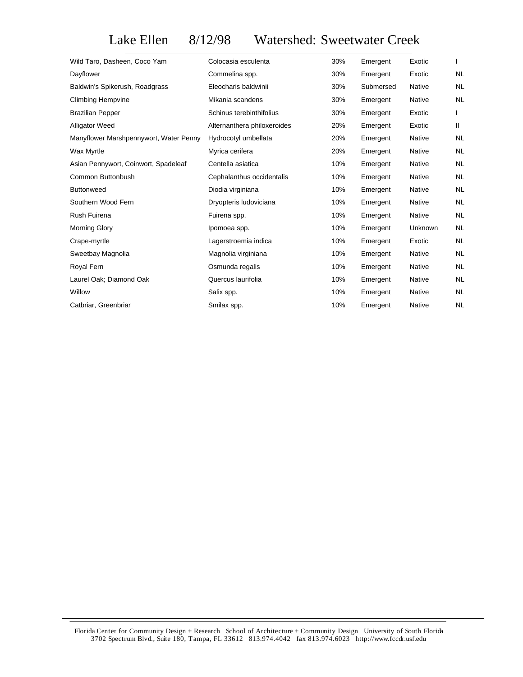Lake Ellen 8/12/98 Watershed: Sweetwater Creek

| Wild Taro, Dasheen, Coco Yam           | Colocasia esculenta         | 30% | Emergent  | Exotic        |           |
|----------------------------------------|-----------------------------|-----|-----------|---------------|-----------|
| Dayflower                              | Commelina spp.              | 30% | Emergent  | Exotic        | NL        |
| Baldwin's Spikerush, Roadgrass         | Eleocharis baldwinii        | 30% | Submersed | Native        | <b>NL</b> |
| <b>Climbing Hempvine</b>               | Mikania scandens            | 30% | Emergent  | Native        | <b>NL</b> |
| <b>Brazilian Pepper</b>                | Schinus terebinthifolius    | 30% | Emergent  | Exotic        |           |
| <b>Alligator Weed</b>                  | Alternanthera philoxeroides | 20% | Emergent  | Exotic        | Ш         |
| Manyflower Marshpennywort, Water Penny | Hydrocotyl umbellata        | 20% | Emergent  | Native        | NL        |
| <b>Wax Myrtle</b>                      | Myrica cerifera             | 20% | Emergent  | Native        | NL        |
| Asian Pennywort, Coinwort, Spadeleaf   | Centella asiatica           | 10% | Emergent  | Native        | NL        |
| Common Buttonbush                      | Cephalanthus occidentalis   | 10% | Emergent  | Native        | <b>NL</b> |
| <b>Buttonweed</b>                      | Diodia virginiana           | 10% | Emergent  | Native        | <b>NL</b> |
| Southern Wood Fern                     | Dryopteris Iudoviciana      | 10% | Emergent  | Native        | NL        |
| Rush Fuirena                           | Fuirena spp.                | 10% | Emergent  | Native        | NL.       |
| <b>Morning Glory</b>                   | Ipomoea spp.                | 10% | Emergent  | Unknown       | NL        |
| Crape-myrtle                           | Lagerstroemia indica        | 10% | Emergent  | Exotic        | NL        |
| Sweetbay Magnolia                      | Magnolia virginiana         | 10% | Emergent  | Native        | NL        |
| Royal Fern                             | Osmunda regalis             | 10% | Emergent  | Native        | <b>NL</b> |
| Laurel Oak; Diamond Oak                | Quercus laurifolia          | 10% | Emergent  | Native        | NL        |
| Willow                                 | Salix spp.                  | 10% | Emergent  | Native        | <b>NL</b> |
| Catbriar, Greenbriar                   | Smilax spp.                 | 10% | Emergent  | <b>Native</b> | NL.       |